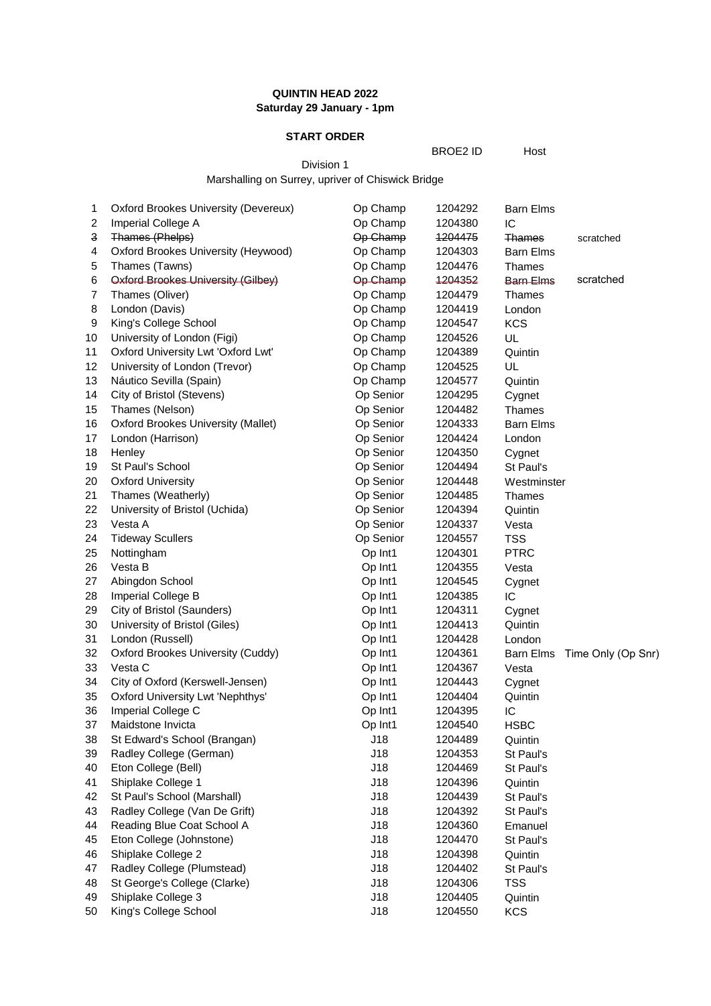# **QUINTIN HEAD 2022 Saturday 29 January - 1pm**

## **START ORDER**

BROE2 ID Host

Division 1 Marshalling on Surrey, upriver of Chiswick Bridge

| 1                       | <b>Oxford Brookes University (Devereux)</b> | Op Champ  | 1204292 | <b>Barn Elms</b> |                    |
|-------------------------|---------------------------------------------|-----------|---------|------------------|--------------------|
| $\overline{\mathbf{c}}$ | Imperial College A                          | Op Champ  | 1204380 | IC               |                    |
| 3                       | Thames (Phelps)                             | Op Champ  | 1204475 | Thames           | scratched          |
| 4                       | Oxford Brookes University (Heywood)         | Op Champ  | 1204303 | <b>Barn Elms</b> |                    |
| 5                       | Thames (Tawns)                              | Op Champ  | 1204476 | <b>Thames</b>    |                    |
| $\,6$                   | Oxford Brookes University (Gilbey)          | Op-Champ  | 1204352 | <b>Barn Elms</b> | scratched          |
| $\overline{7}$          | Thames (Oliver)                             | Op Champ  | 1204479 | <b>Thames</b>    |                    |
| 8                       | London (Davis)                              | Op Champ  | 1204419 | London           |                    |
| 9                       | King's College School                       | Op Champ  | 1204547 | <b>KCS</b>       |                    |
| 10                      | University of London (Figi)                 | Op Champ  | 1204526 | UL               |                    |
| 11                      | Oxford University Lwt 'Oxford Lwt'          | Op Champ  | 1204389 | Quintin          |                    |
| 12                      | University of London (Trevor)               | Op Champ  | 1204525 | UL               |                    |
| 13                      | Náutico Sevilla (Spain)                     | Op Champ  | 1204577 | Quintin          |                    |
| 14                      | City of Bristol (Stevens)                   | Op Senior | 1204295 | Cygnet           |                    |
| 15                      | Thames (Nelson)                             | Op Senior | 1204482 | <b>Thames</b>    |                    |
| 16                      | <b>Oxford Brookes University (Mallet)</b>   | Op Senior | 1204333 | <b>Barn Elms</b> |                    |
| 17                      | London (Harrison)                           | Op Senior | 1204424 | London           |                    |
| 18                      | Henley                                      | Op Senior | 1204350 | Cygnet           |                    |
| 19                      | St Paul's School                            | Op Senior | 1204494 | St Paul's        |                    |
| 20                      | <b>Oxford University</b>                    | Op Senior | 1204448 | Westminster      |                    |
| 21                      | Thames (Weatherly)                          | Op Senior | 1204485 | <b>Thames</b>    |                    |
| 22                      | University of Bristol (Uchida)              | Op Senior | 1204394 | Quintin          |                    |
| 23                      | Vesta A                                     | Op Senior | 1204337 | Vesta            |                    |
| 24                      | <b>Tideway Scullers</b>                     | Op Senior | 1204557 | <b>TSS</b>       |                    |
| 25                      | Nottingham                                  | Op Int1   | 1204301 | <b>PTRC</b>      |                    |
| 26                      | Vesta B                                     | Op Int1   | 1204355 | Vesta            |                    |
| 27                      | Abingdon School                             | Op Int1   | 1204545 | Cygnet           |                    |
| 28                      | Imperial College B                          | Op Int1   | 1204385 | IC               |                    |
| 29                      | City of Bristol (Saunders)                  | Op Int1   | 1204311 | Cygnet           |                    |
| 30                      | University of Bristol (Giles)               | Op Int1   | 1204413 | Quintin          |                    |
| 31                      | London (Russell)                            | Op Int1   | 1204428 | London           |                    |
| 32                      | Oxford Brookes University (Cuddy)           | Op Int1   | 1204361 | <b>Barn Elms</b> | Time Only (Op Snr) |
| 33                      | Vesta C                                     | Op Int1   | 1204367 | Vesta            |                    |
| 34                      | City of Oxford (Kerswell-Jensen)            | Op Int1   | 1204443 | Cygnet           |                    |
| 35                      | Oxford University Lwt 'Nephthys'            | Op Int1   | 1204404 | Quintin          |                    |
| 36                      | Imperial College C                          | Op Int1   | 1204395 | IC               |                    |
| 37                      | Maidstone Invicta                           | Op Int1   | 1204540 | <b>HSBC</b>      |                    |
| 38                      | St Edward's School (Brangan)                | J18       | 1204489 | Quintin          |                    |
| 39                      | Radley College (German)                     | J18       | 1204353 | St Paul's        |                    |
| 40                      | Eton College (Bell)                         | J18       | 1204469 | St Paul's        |                    |
| 41                      | Shiplake College 1                          | J18       | 1204396 | Quintin          |                    |
| 42                      | St Paul's School (Marshall)                 | J18       | 1204439 | St Paul's        |                    |
| 43                      | Radley College (Van De Grift)               | J18       | 1204392 | St Paul's        |                    |
| 44                      | Reading Blue Coat School A                  | J18       | 1204360 | Emanuel          |                    |
| 45                      | Eton College (Johnstone)                    | J18       | 1204470 | St Paul's        |                    |
| 46                      | Shiplake College 2                          | J18       | 1204398 | Quintin          |                    |
| 47                      | Radley College (Plumstead)                  | J18       | 1204402 | St Paul's        |                    |
| 48                      | St George's College (Clarke)                | J18       | 1204306 | <b>TSS</b>       |                    |
| 49                      | Shiplake College 3                          | J18       | 1204405 | Quintin          |                    |
| 50                      | King's College School                       | J18       | 1204550 | <b>KCS</b>       |                    |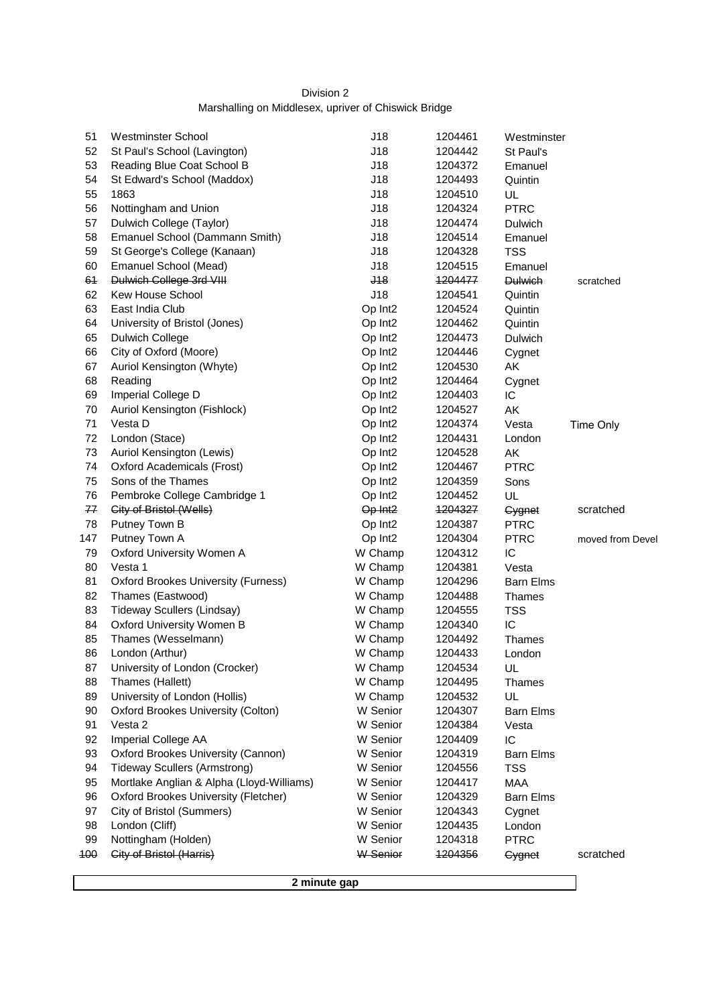# Division 2 Marshalling on Middlesex, upriver of Chiswick Bridge

| 51  | <b>Westminster School</b>                 | J18                 | 1204461 | Westminster      |                  |
|-----|-------------------------------------------|---------------------|---------|------------------|------------------|
| 52  | St Paul's School (Lavington)              | J18                 | 1204442 | St Paul's        |                  |
| 53  | Reading Blue Coat School B                | J18                 | 1204372 | Emanuel          |                  |
| 54  | St Edward's School (Maddox)               | J18                 | 1204493 | Quintin          |                  |
| 55  | 1863                                      | J18                 | 1204510 | UL               |                  |
| 56  | Nottingham and Union                      | J18                 | 1204324 | <b>PTRC</b>      |                  |
| 57  | Dulwich College (Taylor)                  | J18                 | 1204474 | Dulwich          |                  |
| 58  | Emanuel School (Dammann Smith)            | J18                 | 1204514 | Emanuel          |                  |
| 59  | St George's College (Kanaan)              | J18                 | 1204328 | <b>TSS</b>       |                  |
| 60  | Emanuel School (Mead)                     | J18                 | 1204515 | Emanuel          |                  |
| 64  | Dulwich College 3rd VIII                  | $48$                | 1204477 | <b>Dulwich</b>   | scratched        |
| 62  | Kew House School                          | J18                 | 1204541 | Quintin          |                  |
| 63  | East India Club                           | Op Int <sub>2</sub> | 1204524 | Quintin          |                  |
| 64  | University of Bristol (Jones)             | Op Int <sub>2</sub> | 1204462 | Quintin          |                  |
| 65  | <b>Dulwich College</b>                    | Op Int <sub>2</sub> | 1204473 | Dulwich          |                  |
| 66  | City of Oxford (Moore)                    | Op Int <sub>2</sub> | 1204446 | Cygnet           |                  |
| 67  | Auriol Kensington (Whyte)                 | Op Int <sub>2</sub> | 1204530 | AK               |                  |
| 68  | Reading                                   | Op Int <sub>2</sub> | 1204464 | Cygnet           |                  |
| 69  | Imperial College D                        | Op Int <sub>2</sub> | 1204403 | IC               |                  |
| 70  | Auriol Kensington (Fishlock)              | Op Int <sub>2</sub> | 1204527 | AK               |                  |
| 71  | Vesta D                                   | Op Int <sub>2</sub> | 1204374 | Vesta            | Time Only        |
| 72  | London (Stace)                            | Op Int <sub>2</sub> | 1204431 | London           |                  |
| 73  | Auriol Kensington (Lewis)                 | Op Int <sub>2</sub> | 1204528 | ΑK               |                  |
| 74  | <b>Oxford Academicals (Frost)</b>         | Op Int <sub>2</sub> | 1204467 | <b>PTRC</b>      |                  |
| 75  | Sons of the Thames                        | Op Int <sub>2</sub> | 1204359 | Sons             |                  |
| 76  | Pembroke College Cambridge 1              | Op Int <sub>2</sub> | 1204452 | UL               |                  |
| 77  | City of Bristol (Wells)                   | Op Int <sub>2</sub> | 1204327 | Gygnet           | scratched        |
| 78  | Putney Town B                             | Op Int <sub>2</sub> | 1204387 | <b>PTRC</b>      |                  |
| 147 | Putney Town A                             | Op Int <sub>2</sub> | 1204304 | <b>PTRC</b>      | moved from Devel |
| 79  | Oxford University Women A                 | W Champ             | 1204312 | IС               |                  |
| 80  | Vesta 1                                   | W Champ             | 1204381 | Vesta            |                  |
| 81  | Oxford Brookes University (Furness)       | W Champ             | 1204296 | <b>Barn Elms</b> |                  |
| 82  | Thames (Eastwood)                         | W Champ             | 1204488 | Thames           |                  |
| 83  | <b>Tideway Scullers (Lindsay)</b>         | W Champ             | 1204555 | <b>TSS</b>       |                  |
| 84  | Oxford University Women B                 | W Champ             | 1204340 | IC               |                  |
| 85  | Thames (Wesselmann)                       | W Champ             | 1204492 | <b>Thames</b>    |                  |
| 86  | London (Arthur)                           | W Champ             | 1204433 | London           |                  |
| 87  | University of London (Crocker)            | W Champ             | 1204534 | UL               |                  |
| 88  | Thames (Hallett)                          | W Champ             | 1204495 | <b>Thames</b>    |                  |
| 89  | University of London (Hollis)             | W Champ             | 1204532 | UL               |                  |
| 90  | <b>Oxford Brookes University (Colton)</b> | W Senior            | 1204307 | <b>Barn Elms</b> |                  |
| 91  | Vesta 2                                   | W Senior            | 1204384 | Vesta            |                  |
| 92  | Imperial College AA                       | W Senior            | 1204409 | IC               |                  |
| 93  | Oxford Brookes University (Cannon)        | W Senior            | 1204319 | <b>Barn Elms</b> |                  |
| 94  | <b>Tideway Scullers (Armstrong)</b>       | W Senior            | 1204556 | <b>TSS</b>       |                  |
| 95  | Mortlake Anglian & Alpha (Lloyd-Williams) | W Senior            | 1204417 | MAA              |                  |
| 96  | Oxford Brookes University (Fletcher)      | W Senior            | 1204329 | <b>Barn Elms</b> |                  |
| 97  | City of Bristol (Summers)                 | W Senior            | 1204343 | Cygnet           |                  |
| 98  | London (Cliff)                            | W Senior            | 1204435 | London           |                  |
| 99  | Nottingham (Holden)                       | W Senior            | 1204318 | <b>PTRC</b>      |                  |
| 100 | City of Bristol (Harris)                  | <b>W</b> Senior     | 1204356 | Gygnet           | scratched        |
|     |                                           |                     |         |                  |                  |

**2 minute gap**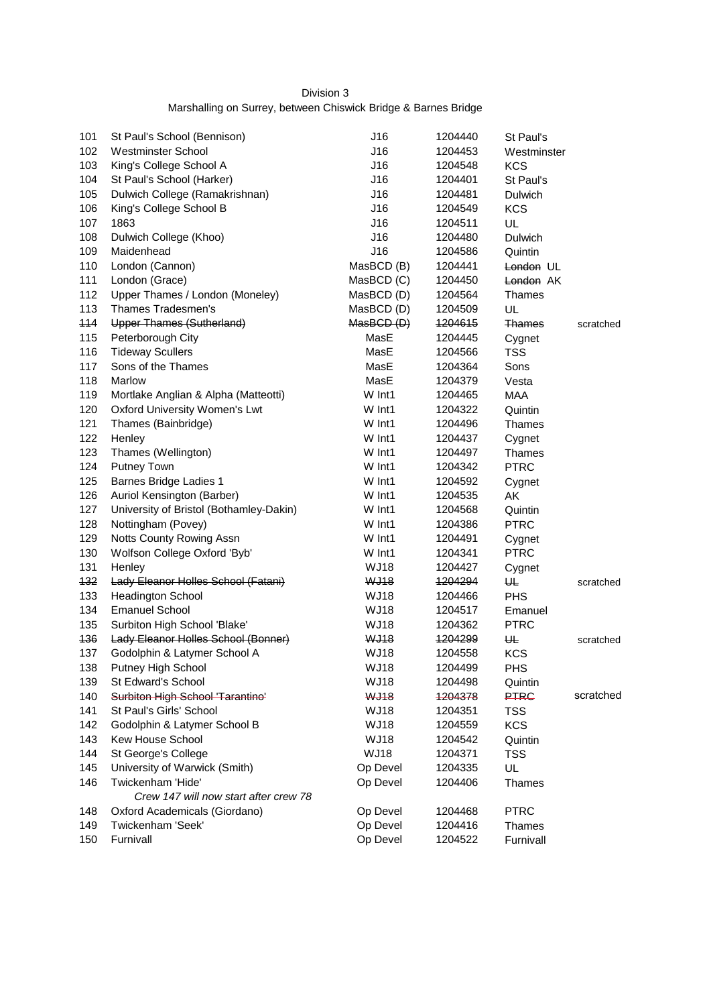# Division 3 Marshalling on Surrey, between Chiswick Bridge & Barnes Bridge

| 101 | St Paul's School (Bennison)             | J16         | 1204440 | St Paul's     |           |
|-----|-----------------------------------------|-------------|---------|---------------|-----------|
| 102 | <b>Westminster School</b>               | J16         | 1204453 | Westminster   |           |
| 103 | King's College School A                 | J16         | 1204548 | <b>KCS</b>    |           |
| 104 | St Paul's School (Harker)               | J16         | 1204401 | St Paul's     |           |
| 105 | Dulwich College (Ramakrishnan)          | J16         | 1204481 | Dulwich       |           |
| 106 | King's College School B                 | J16         | 1204549 | <b>KCS</b>    |           |
| 107 | 1863                                    | J16         | 1204511 | UL.           |           |
| 108 | Dulwich College (Khoo)                  | J16         | 1204480 | Dulwich       |           |
| 109 | Maidenhead                              | J16         | 1204586 | Quintin       |           |
| 110 | London (Cannon)                         | MasBCD (B)  | 1204441 | London UL     |           |
| 111 | London (Grace)                          | MasBCD (C)  | 1204450 | London AK     |           |
| 112 | Upper Thames / London (Moneley)         | MasBCD (D)  | 1204564 | Thames        |           |
| 113 | Thames Tradesmen's                      | MasBCD (D)  | 1204509 | UL            |           |
| 114 | Upper Thames (Sutherland)               | MasBCD (D)  | 1204615 | <b>Thames</b> | scratched |
| 115 | Peterborough City                       | MasE        | 1204445 | Cygnet        |           |
| 116 | <b>Tideway Scullers</b>                 | MasE        | 1204566 | <b>TSS</b>    |           |
| 117 | Sons of the Thames                      | MasE        | 1204364 | Sons          |           |
| 118 | Marlow                                  | MasE        | 1204379 | Vesta         |           |
| 119 | Mortlake Anglian & Alpha (Matteotti)    | W Int1      | 1204465 | <b>MAA</b>    |           |
| 120 | <b>Oxford University Women's Lwt</b>    | W Int1      | 1204322 | Quintin       |           |
| 121 | Thames (Bainbridge)                     | W Int1      | 1204496 | Thames        |           |
| 122 | Henley                                  | W Int1      | 1204437 | Cygnet        |           |
| 123 | Thames (Wellington)                     | W Int1      | 1204497 | Thames        |           |
| 124 | <b>Putney Town</b>                      | W Int1      | 1204342 | <b>PTRC</b>   |           |
| 125 | <b>Barnes Bridge Ladies 1</b>           | W Int1      | 1204592 | Cygnet        |           |
| 126 | Auriol Kensington (Barber)              | W Int1      | 1204535 | AK            |           |
| 127 | University of Bristol (Bothamley-Dakin) | W Int1      | 1204568 | Quintin       |           |
| 128 | Nottingham (Povey)                      | W Int1      | 1204386 | <b>PTRC</b>   |           |
| 129 | Notts County Rowing Assn                | W Int1      | 1204491 | Cygnet        |           |
| 130 | Wolfson College Oxford 'Byb'            | W Int1      | 1204341 | <b>PTRC</b>   |           |
| 131 | Henley                                  | <b>WJ18</b> | 1204427 | Cygnet        |           |
| 132 | Lady Eleanor Holles School (Fatani)     | <b>WJ18</b> | 1204294 | ₩             | scratched |
| 133 | <b>Headington School</b>                | <b>WJ18</b> | 1204466 | <b>PHS</b>    |           |
| 134 | <b>Emanuel School</b>                   | <b>WJ18</b> | 1204517 | Emanuel       |           |
| 135 | Surbiton High School 'Blake'            | <b>WJ18</b> | 1204362 | <b>PTRC</b>   |           |
| 436 | Lady Eleanor Holles School (Bonner)     | <b>WJ18</b> | 1204299 | ₩             | scratched |
| 137 | Godolphin & Latymer School A            | <b>WJ18</b> | 1204558 | <b>KCS</b>    |           |
| 138 | Putney High School                      | <b>WJ18</b> | 1204499 | <b>PHS</b>    |           |
| 139 | St Edward's School                      | <b>WJ18</b> | 1204498 | Quintin       |           |
| 140 | Surbiton High School 'Tarantino'        | <b>WJ18</b> | 1204378 | <b>PTRC</b>   | scratched |
| 141 | St Paul's Girls' School                 | WJ18        | 1204351 | TSS           |           |
| 142 | Godolphin & Latymer School B            | <b>WJ18</b> | 1204559 | <b>KCS</b>    |           |
| 143 | Kew House School                        | <b>WJ18</b> | 1204542 | Quintin       |           |
| 144 | St George's College                     | <b>WJ18</b> | 1204371 | <b>TSS</b>    |           |
| 145 | University of Warwick (Smith)           | Op Devel    | 1204335 | UL            |           |
| 146 | Twickenham 'Hide'                       | Op Devel    | 1204406 | Thames        |           |
|     | Crew 147 will now start after crew 78   |             |         |               |           |
| 148 | Oxford Academicals (Giordano)           | Op Devel    | 1204468 | <b>PTRC</b>   |           |
| 149 | Twickenham 'Seek'                       | Op Devel    | 1204416 | Thames        |           |
| 150 | Furnivall                               | Op Devel    | 1204522 | Furnivall     |           |
|     |                                         |             |         |               |           |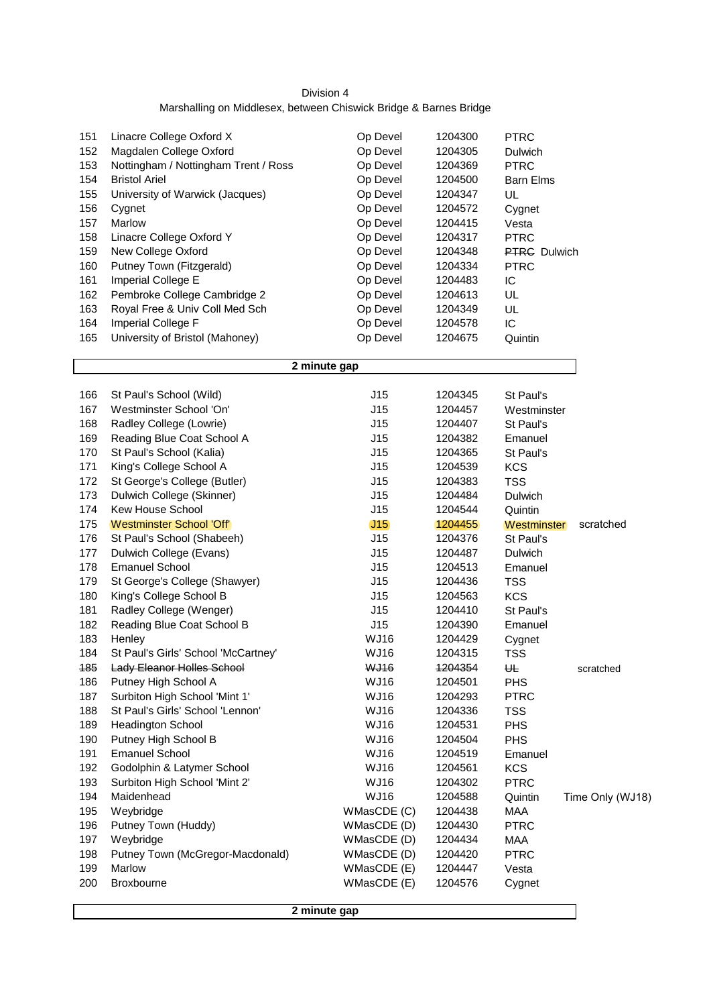| Division 4                                                        |  |
|-------------------------------------------------------------------|--|
| Marshalling on Middlesex, between Chiswick Bridge & Barnes Bridge |  |

| 153<br>Nottingham / Nottingham Trent / Ross<br>Op Devel<br><b>PTRC</b><br>1204369<br>154<br>Op Devel<br><b>Bristol Ariel</b><br>1204500<br><b>Barn Elms</b><br>155<br>University of Warwick (Jacques)<br>Op Devel<br>1204347<br>UL<br>Op Devel<br>156<br>1204572<br>Cygnet<br>Cygnet<br>157<br>Marlow<br>Op Devel<br>1204415<br>Vesta<br>158<br>Linacre College Oxford Y<br>Op Devel<br><b>PTRC</b><br>1204317<br>159<br>Op Devel<br>New College Oxford<br>1204348<br>PTRG Dulwich<br>160<br>Putney Town (Fitzgerald)<br>Op Devel<br><b>PTRC</b><br>1204334<br>161<br>Imperial College E<br>Op Devel<br>IC<br>1204483<br>162<br>Pembroke College Cambridge 2<br>Op Devel<br>UL<br>1204613<br>163<br>Royal Free & Univ Coll Med Sch<br>Op Devel<br>UL<br>1204349<br>164<br>Imperial College F<br>Op Devel<br>IC<br>1204578<br>165<br>University of Bristol (Mahoney)<br>Op Devel<br>1204675<br>Quintin<br>2 minute gap<br>J15<br>166<br>St Paul's School (Wild)<br>1204345<br>St Paul's<br>167<br>Westminster School 'On'<br>J15<br>1204457<br>Westminster<br>J15<br>168<br>Radley College (Lowrie)<br>1204407<br>St Paul's<br>169<br>J15<br>Reading Blue Coat School A<br>1204382<br>Emanuel<br>170<br>St Paul's School (Kalia)<br>J15<br>1204365<br>St Paul's<br>171<br>King's College School A<br>J15<br>1204539<br><b>KCS</b><br>172<br>St George's College (Butler)<br>J15<br>1204383<br><b>TSS</b><br>173<br>Dulwich College (Skinner)<br>J15<br>1204484<br>Dulwich<br>174<br>Kew House School<br>J15<br>1204544<br>Quintin<br>175<br>J15<br>Westminster School 'Off'<br>1204455<br>Westminster<br>176<br>St Paul's School (Shabeeh)<br>J15<br>1204376<br>St Paul's<br>177<br>J15<br>Dulwich College (Evans)<br>1204487<br>Dulwich<br>178<br><b>Emanuel School</b><br>J15<br>1204513<br>Emanuel<br>179<br>J15<br>St George's College (Shawyer)<br>1204436<br><b>TSS</b><br>180<br>King's College School B<br>J15<br>1204563<br><b>KCS</b><br>181<br>Radley College (Wenger)<br>J15<br>1204410<br>St Paul's<br>182<br>Reading Blue Coat School B<br>J15<br>1204390<br>Emanuel<br>183<br><b>WJ16</b><br>1204429<br>Henley<br>Cygnet<br>184<br><b>WJ16</b><br><b>TSS</b><br>St Paul's Girls' School 'McCartney'<br>1204315<br><b>WJ16</b><br>₩<br>185<br><b>Lady Eleanor Holles School</b><br>1204354<br>scratched<br><b>WJ16</b><br>186<br>Putney High School A<br>1204501<br><b>PHS</b><br>187<br>Surbiton High School 'Mint 1'<br><b>WJ16</b><br><b>PTRC</b><br>1204293<br>188<br>St Paul's Girls' School 'Lennon'<br><b>WJ16</b><br>1204336<br><b>TSS</b><br>189<br><b>Headington School</b><br><b>WJ16</b><br>1204531<br><b>PHS</b><br>190<br><b>WJ16</b><br>PHS<br>Putney High School B<br>1204504<br>191<br><b>Emanuel School</b><br><b>WJ16</b><br>1204519<br>Emanuel<br>192<br>Godolphin & Latymer School<br><b>WJ16</b><br><b>KCS</b><br>1204561<br>193<br><b>WJ16</b><br><b>PTRC</b><br>Surbiton High School 'Mint 2'<br>1204302<br>194<br>Maidenhead<br><b>WJ16</b><br>1204588<br>Quintin<br>195<br>Weybridge<br>WMasCDE (C)<br><b>MAA</b><br>1204438<br>196<br>Putney Town (Huddy)<br><b>PTRC</b><br>WMasCDE (D)<br>1204430<br>197<br>Weybridge<br>WMasCDE (D)<br>1204434<br><b>MAA</b><br>198<br>Putney Town (McGregor-Macdonald)<br>WMasCDE (D)<br><b>PTRC</b><br>1204420<br>199<br>Marlow<br>WMasCDE (E)<br>1204447<br>Vesta<br>200<br>Broxbourne<br>WMasCDE (E)<br>1204576<br>Cygnet | 151 | Linacre College Oxford X | Op Devel | 1204300 | <b>PTRC</b> |                  |
|---------------------------------------------------------------------------------------------------------------------------------------------------------------------------------------------------------------------------------------------------------------------------------------------------------------------------------------------------------------------------------------------------------------------------------------------------------------------------------------------------------------------------------------------------------------------------------------------------------------------------------------------------------------------------------------------------------------------------------------------------------------------------------------------------------------------------------------------------------------------------------------------------------------------------------------------------------------------------------------------------------------------------------------------------------------------------------------------------------------------------------------------------------------------------------------------------------------------------------------------------------------------------------------------------------------------------------------------------------------------------------------------------------------------------------------------------------------------------------------------------------------------------------------------------------------------------------------------------------------------------------------------------------------------------------------------------------------------------------------------------------------------------------------------------------------------------------------------------------------------------------------------------------------------------------------------------------------------------------------------------------------------------------------------------------------------------------------------------------------------------------------------------------------------------------------------------------------------------------------------------------------------------------------------------------------------------------------------------------------------------------------------------------------------------------------------------------------------------------------------------------------------------------------------------------------------------------------------------------------------------------------------------------------------------------------------------------------------------------------------------------------------------------------------------------------------------------------------------------------------------------------------------------------------------------------------------------------------------------------------------------------------------------------------------------------------------------------------------------------------------------------------------------------------------------------------------------------------------------------------------------------------------------------------------------------------------------------------------------------------------------------------------------|-----|--------------------------|----------|---------|-------------|------------------|
|                                                                                                                                                                                                                                                                                                                                                                                                                                                                                                                                                                                                                                                                                                                                                                                                                                                                                                                                                                                                                                                                                                                                                                                                                                                                                                                                                                                                                                                                                                                                                                                                                                                                                                                                                                                                                                                                                                                                                                                                                                                                                                                                                                                                                                                                                                                                                                                                                                                                                                                                                                                                                                                                                                                                                                                                                                                                                                                                                                                                                                                                                                                                                                                                                                                                                                                                                                                                         | 152 | Magdalen College Oxford  | Op Devel | 1204305 | Dulwich     |                  |
|                                                                                                                                                                                                                                                                                                                                                                                                                                                                                                                                                                                                                                                                                                                                                                                                                                                                                                                                                                                                                                                                                                                                                                                                                                                                                                                                                                                                                                                                                                                                                                                                                                                                                                                                                                                                                                                                                                                                                                                                                                                                                                                                                                                                                                                                                                                                                                                                                                                                                                                                                                                                                                                                                                                                                                                                                                                                                                                                                                                                                                                                                                                                                                                                                                                                                                                                                                                                         |     |                          |          |         |             |                  |
|                                                                                                                                                                                                                                                                                                                                                                                                                                                                                                                                                                                                                                                                                                                                                                                                                                                                                                                                                                                                                                                                                                                                                                                                                                                                                                                                                                                                                                                                                                                                                                                                                                                                                                                                                                                                                                                                                                                                                                                                                                                                                                                                                                                                                                                                                                                                                                                                                                                                                                                                                                                                                                                                                                                                                                                                                                                                                                                                                                                                                                                                                                                                                                                                                                                                                                                                                                                                         |     |                          |          |         |             |                  |
|                                                                                                                                                                                                                                                                                                                                                                                                                                                                                                                                                                                                                                                                                                                                                                                                                                                                                                                                                                                                                                                                                                                                                                                                                                                                                                                                                                                                                                                                                                                                                                                                                                                                                                                                                                                                                                                                                                                                                                                                                                                                                                                                                                                                                                                                                                                                                                                                                                                                                                                                                                                                                                                                                                                                                                                                                                                                                                                                                                                                                                                                                                                                                                                                                                                                                                                                                                                                         |     |                          |          |         |             |                  |
|                                                                                                                                                                                                                                                                                                                                                                                                                                                                                                                                                                                                                                                                                                                                                                                                                                                                                                                                                                                                                                                                                                                                                                                                                                                                                                                                                                                                                                                                                                                                                                                                                                                                                                                                                                                                                                                                                                                                                                                                                                                                                                                                                                                                                                                                                                                                                                                                                                                                                                                                                                                                                                                                                                                                                                                                                                                                                                                                                                                                                                                                                                                                                                                                                                                                                                                                                                                                         |     |                          |          |         |             |                  |
|                                                                                                                                                                                                                                                                                                                                                                                                                                                                                                                                                                                                                                                                                                                                                                                                                                                                                                                                                                                                                                                                                                                                                                                                                                                                                                                                                                                                                                                                                                                                                                                                                                                                                                                                                                                                                                                                                                                                                                                                                                                                                                                                                                                                                                                                                                                                                                                                                                                                                                                                                                                                                                                                                                                                                                                                                                                                                                                                                                                                                                                                                                                                                                                                                                                                                                                                                                                                         |     |                          |          |         |             |                  |
|                                                                                                                                                                                                                                                                                                                                                                                                                                                                                                                                                                                                                                                                                                                                                                                                                                                                                                                                                                                                                                                                                                                                                                                                                                                                                                                                                                                                                                                                                                                                                                                                                                                                                                                                                                                                                                                                                                                                                                                                                                                                                                                                                                                                                                                                                                                                                                                                                                                                                                                                                                                                                                                                                                                                                                                                                                                                                                                                                                                                                                                                                                                                                                                                                                                                                                                                                                                                         |     |                          |          |         |             |                  |
|                                                                                                                                                                                                                                                                                                                                                                                                                                                                                                                                                                                                                                                                                                                                                                                                                                                                                                                                                                                                                                                                                                                                                                                                                                                                                                                                                                                                                                                                                                                                                                                                                                                                                                                                                                                                                                                                                                                                                                                                                                                                                                                                                                                                                                                                                                                                                                                                                                                                                                                                                                                                                                                                                                                                                                                                                                                                                                                                                                                                                                                                                                                                                                                                                                                                                                                                                                                                         |     |                          |          |         |             |                  |
|                                                                                                                                                                                                                                                                                                                                                                                                                                                                                                                                                                                                                                                                                                                                                                                                                                                                                                                                                                                                                                                                                                                                                                                                                                                                                                                                                                                                                                                                                                                                                                                                                                                                                                                                                                                                                                                                                                                                                                                                                                                                                                                                                                                                                                                                                                                                                                                                                                                                                                                                                                                                                                                                                                                                                                                                                                                                                                                                                                                                                                                                                                                                                                                                                                                                                                                                                                                                         |     |                          |          |         |             |                  |
|                                                                                                                                                                                                                                                                                                                                                                                                                                                                                                                                                                                                                                                                                                                                                                                                                                                                                                                                                                                                                                                                                                                                                                                                                                                                                                                                                                                                                                                                                                                                                                                                                                                                                                                                                                                                                                                                                                                                                                                                                                                                                                                                                                                                                                                                                                                                                                                                                                                                                                                                                                                                                                                                                                                                                                                                                                                                                                                                                                                                                                                                                                                                                                                                                                                                                                                                                                                                         |     |                          |          |         |             |                  |
|                                                                                                                                                                                                                                                                                                                                                                                                                                                                                                                                                                                                                                                                                                                                                                                                                                                                                                                                                                                                                                                                                                                                                                                                                                                                                                                                                                                                                                                                                                                                                                                                                                                                                                                                                                                                                                                                                                                                                                                                                                                                                                                                                                                                                                                                                                                                                                                                                                                                                                                                                                                                                                                                                                                                                                                                                                                                                                                                                                                                                                                                                                                                                                                                                                                                                                                                                                                                         |     |                          |          |         |             |                  |
|                                                                                                                                                                                                                                                                                                                                                                                                                                                                                                                                                                                                                                                                                                                                                                                                                                                                                                                                                                                                                                                                                                                                                                                                                                                                                                                                                                                                                                                                                                                                                                                                                                                                                                                                                                                                                                                                                                                                                                                                                                                                                                                                                                                                                                                                                                                                                                                                                                                                                                                                                                                                                                                                                                                                                                                                                                                                                                                                                                                                                                                                                                                                                                                                                                                                                                                                                                                                         |     |                          |          |         |             |                  |
|                                                                                                                                                                                                                                                                                                                                                                                                                                                                                                                                                                                                                                                                                                                                                                                                                                                                                                                                                                                                                                                                                                                                                                                                                                                                                                                                                                                                                                                                                                                                                                                                                                                                                                                                                                                                                                                                                                                                                                                                                                                                                                                                                                                                                                                                                                                                                                                                                                                                                                                                                                                                                                                                                                                                                                                                                                                                                                                                                                                                                                                                                                                                                                                                                                                                                                                                                                                                         |     |                          |          |         |             |                  |
|                                                                                                                                                                                                                                                                                                                                                                                                                                                                                                                                                                                                                                                                                                                                                                                                                                                                                                                                                                                                                                                                                                                                                                                                                                                                                                                                                                                                                                                                                                                                                                                                                                                                                                                                                                                                                                                                                                                                                                                                                                                                                                                                                                                                                                                                                                                                                                                                                                                                                                                                                                                                                                                                                                                                                                                                                                                                                                                                                                                                                                                                                                                                                                                                                                                                                                                                                                                                         |     |                          |          |         |             |                  |
|                                                                                                                                                                                                                                                                                                                                                                                                                                                                                                                                                                                                                                                                                                                                                                                                                                                                                                                                                                                                                                                                                                                                                                                                                                                                                                                                                                                                                                                                                                                                                                                                                                                                                                                                                                                                                                                                                                                                                                                                                                                                                                                                                                                                                                                                                                                                                                                                                                                                                                                                                                                                                                                                                                                                                                                                                                                                                                                                                                                                                                                                                                                                                                                                                                                                                                                                                                                                         |     |                          |          |         |             |                  |
|                                                                                                                                                                                                                                                                                                                                                                                                                                                                                                                                                                                                                                                                                                                                                                                                                                                                                                                                                                                                                                                                                                                                                                                                                                                                                                                                                                                                                                                                                                                                                                                                                                                                                                                                                                                                                                                                                                                                                                                                                                                                                                                                                                                                                                                                                                                                                                                                                                                                                                                                                                                                                                                                                                                                                                                                                                                                                                                                                                                                                                                                                                                                                                                                                                                                                                                                                                                                         |     |                          |          |         |             |                  |
|                                                                                                                                                                                                                                                                                                                                                                                                                                                                                                                                                                                                                                                                                                                                                                                                                                                                                                                                                                                                                                                                                                                                                                                                                                                                                                                                                                                                                                                                                                                                                                                                                                                                                                                                                                                                                                                                                                                                                                                                                                                                                                                                                                                                                                                                                                                                                                                                                                                                                                                                                                                                                                                                                                                                                                                                                                                                                                                                                                                                                                                                                                                                                                                                                                                                                                                                                                                                         |     |                          |          |         |             |                  |
|                                                                                                                                                                                                                                                                                                                                                                                                                                                                                                                                                                                                                                                                                                                                                                                                                                                                                                                                                                                                                                                                                                                                                                                                                                                                                                                                                                                                                                                                                                                                                                                                                                                                                                                                                                                                                                                                                                                                                                                                                                                                                                                                                                                                                                                                                                                                                                                                                                                                                                                                                                                                                                                                                                                                                                                                                                                                                                                                                                                                                                                                                                                                                                                                                                                                                                                                                                                                         |     |                          |          |         |             |                  |
|                                                                                                                                                                                                                                                                                                                                                                                                                                                                                                                                                                                                                                                                                                                                                                                                                                                                                                                                                                                                                                                                                                                                                                                                                                                                                                                                                                                                                                                                                                                                                                                                                                                                                                                                                                                                                                                                                                                                                                                                                                                                                                                                                                                                                                                                                                                                                                                                                                                                                                                                                                                                                                                                                                                                                                                                                                                                                                                                                                                                                                                                                                                                                                                                                                                                                                                                                                                                         |     |                          |          |         |             |                  |
|                                                                                                                                                                                                                                                                                                                                                                                                                                                                                                                                                                                                                                                                                                                                                                                                                                                                                                                                                                                                                                                                                                                                                                                                                                                                                                                                                                                                                                                                                                                                                                                                                                                                                                                                                                                                                                                                                                                                                                                                                                                                                                                                                                                                                                                                                                                                                                                                                                                                                                                                                                                                                                                                                                                                                                                                                                                                                                                                                                                                                                                                                                                                                                                                                                                                                                                                                                                                         |     |                          |          |         |             |                  |
|                                                                                                                                                                                                                                                                                                                                                                                                                                                                                                                                                                                                                                                                                                                                                                                                                                                                                                                                                                                                                                                                                                                                                                                                                                                                                                                                                                                                                                                                                                                                                                                                                                                                                                                                                                                                                                                                                                                                                                                                                                                                                                                                                                                                                                                                                                                                                                                                                                                                                                                                                                                                                                                                                                                                                                                                                                                                                                                                                                                                                                                                                                                                                                                                                                                                                                                                                                                                         |     |                          |          |         |             |                  |
|                                                                                                                                                                                                                                                                                                                                                                                                                                                                                                                                                                                                                                                                                                                                                                                                                                                                                                                                                                                                                                                                                                                                                                                                                                                                                                                                                                                                                                                                                                                                                                                                                                                                                                                                                                                                                                                                                                                                                                                                                                                                                                                                                                                                                                                                                                                                                                                                                                                                                                                                                                                                                                                                                                                                                                                                                                                                                                                                                                                                                                                                                                                                                                                                                                                                                                                                                                                                         |     |                          |          |         |             |                  |
|                                                                                                                                                                                                                                                                                                                                                                                                                                                                                                                                                                                                                                                                                                                                                                                                                                                                                                                                                                                                                                                                                                                                                                                                                                                                                                                                                                                                                                                                                                                                                                                                                                                                                                                                                                                                                                                                                                                                                                                                                                                                                                                                                                                                                                                                                                                                                                                                                                                                                                                                                                                                                                                                                                                                                                                                                                                                                                                                                                                                                                                                                                                                                                                                                                                                                                                                                                                                         |     |                          |          |         |             |                  |
|                                                                                                                                                                                                                                                                                                                                                                                                                                                                                                                                                                                                                                                                                                                                                                                                                                                                                                                                                                                                                                                                                                                                                                                                                                                                                                                                                                                                                                                                                                                                                                                                                                                                                                                                                                                                                                                                                                                                                                                                                                                                                                                                                                                                                                                                                                                                                                                                                                                                                                                                                                                                                                                                                                                                                                                                                                                                                                                                                                                                                                                                                                                                                                                                                                                                                                                                                                                                         |     |                          |          |         |             |                  |
|                                                                                                                                                                                                                                                                                                                                                                                                                                                                                                                                                                                                                                                                                                                                                                                                                                                                                                                                                                                                                                                                                                                                                                                                                                                                                                                                                                                                                                                                                                                                                                                                                                                                                                                                                                                                                                                                                                                                                                                                                                                                                                                                                                                                                                                                                                                                                                                                                                                                                                                                                                                                                                                                                                                                                                                                                                                                                                                                                                                                                                                                                                                                                                                                                                                                                                                                                                                                         |     |                          |          |         |             | scratched        |
|                                                                                                                                                                                                                                                                                                                                                                                                                                                                                                                                                                                                                                                                                                                                                                                                                                                                                                                                                                                                                                                                                                                                                                                                                                                                                                                                                                                                                                                                                                                                                                                                                                                                                                                                                                                                                                                                                                                                                                                                                                                                                                                                                                                                                                                                                                                                                                                                                                                                                                                                                                                                                                                                                                                                                                                                                                                                                                                                                                                                                                                                                                                                                                                                                                                                                                                                                                                                         |     |                          |          |         |             |                  |
|                                                                                                                                                                                                                                                                                                                                                                                                                                                                                                                                                                                                                                                                                                                                                                                                                                                                                                                                                                                                                                                                                                                                                                                                                                                                                                                                                                                                                                                                                                                                                                                                                                                                                                                                                                                                                                                                                                                                                                                                                                                                                                                                                                                                                                                                                                                                                                                                                                                                                                                                                                                                                                                                                                                                                                                                                                                                                                                                                                                                                                                                                                                                                                                                                                                                                                                                                                                                         |     |                          |          |         |             |                  |
|                                                                                                                                                                                                                                                                                                                                                                                                                                                                                                                                                                                                                                                                                                                                                                                                                                                                                                                                                                                                                                                                                                                                                                                                                                                                                                                                                                                                                                                                                                                                                                                                                                                                                                                                                                                                                                                                                                                                                                                                                                                                                                                                                                                                                                                                                                                                                                                                                                                                                                                                                                                                                                                                                                                                                                                                                                                                                                                                                                                                                                                                                                                                                                                                                                                                                                                                                                                                         |     |                          |          |         |             |                  |
|                                                                                                                                                                                                                                                                                                                                                                                                                                                                                                                                                                                                                                                                                                                                                                                                                                                                                                                                                                                                                                                                                                                                                                                                                                                                                                                                                                                                                                                                                                                                                                                                                                                                                                                                                                                                                                                                                                                                                                                                                                                                                                                                                                                                                                                                                                                                                                                                                                                                                                                                                                                                                                                                                                                                                                                                                                                                                                                                                                                                                                                                                                                                                                                                                                                                                                                                                                                                         |     |                          |          |         |             |                  |
|                                                                                                                                                                                                                                                                                                                                                                                                                                                                                                                                                                                                                                                                                                                                                                                                                                                                                                                                                                                                                                                                                                                                                                                                                                                                                                                                                                                                                                                                                                                                                                                                                                                                                                                                                                                                                                                                                                                                                                                                                                                                                                                                                                                                                                                                                                                                                                                                                                                                                                                                                                                                                                                                                                                                                                                                                                                                                                                                                                                                                                                                                                                                                                                                                                                                                                                                                                                                         |     |                          |          |         |             |                  |
|                                                                                                                                                                                                                                                                                                                                                                                                                                                                                                                                                                                                                                                                                                                                                                                                                                                                                                                                                                                                                                                                                                                                                                                                                                                                                                                                                                                                                                                                                                                                                                                                                                                                                                                                                                                                                                                                                                                                                                                                                                                                                                                                                                                                                                                                                                                                                                                                                                                                                                                                                                                                                                                                                                                                                                                                                                                                                                                                                                                                                                                                                                                                                                                                                                                                                                                                                                                                         |     |                          |          |         |             |                  |
|                                                                                                                                                                                                                                                                                                                                                                                                                                                                                                                                                                                                                                                                                                                                                                                                                                                                                                                                                                                                                                                                                                                                                                                                                                                                                                                                                                                                                                                                                                                                                                                                                                                                                                                                                                                                                                                                                                                                                                                                                                                                                                                                                                                                                                                                                                                                                                                                                                                                                                                                                                                                                                                                                                                                                                                                                                                                                                                                                                                                                                                                                                                                                                                                                                                                                                                                                                                                         |     |                          |          |         |             |                  |
|                                                                                                                                                                                                                                                                                                                                                                                                                                                                                                                                                                                                                                                                                                                                                                                                                                                                                                                                                                                                                                                                                                                                                                                                                                                                                                                                                                                                                                                                                                                                                                                                                                                                                                                                                                                                                                                                                                                                                                                                                                                                                                                                                                                                                                                                                                                                                                                                                                                                                                                                                                                                                                                                                                                                                                                                                                                                                                                                                                                                                                                                                                                                                                                                                                                                                                                                                                                                         |     |                          |          |         |             |                  |
|                                                                                                                                                                                                                                                                                                                                                                                                                                                                                                                                                                                                                                                                                                                                                                                                                                                                                                                                                                                                                                                                                                                                                                                                                                                                                                                                                                                                                                                                                                                                                                                                                                                                                                                                                                                                                                                                                                                                                                                                                                                                                                                                                                                                                                                                                                                                                                                                                                                                                                                                                                                                                                                                                                                                                                                                                                                                                                                                                                                                                                                                                                                                                                                                                                                                                                                                                                                                         |     |                          |          |         |             |                  |
|                                                                                                                                                                                                                                                                                                                                                                                                                                                                                                                                                                                                                                                                                                                                                                                                                                                                                                                                                                                                                                                                                                                                                                                                                                                                                                                                                                                                                                                                                                                                                                                                                                                                                                                                                                                                                                                                                                                                                                                                                                                                                                                                                                                                                                                                                                                                                                                                                                                                                                                                                                                                                                                                                                                                                                                                                                                                                                                                                                                                                                                                                                                                                                                                                                                                                                                                                                                                         |     |                          |          |         |             |                  |
|                                                                                                                                                                                                                                                                                                                                                                                                                                                                                                                                                                                                                                                                                                                                                                                                                                                                                                                                                                                                                                                                                                                                                                                                                                                                                                                                                                                                                                                                                                                                                                                                                                                                                                                                                                                                                                                                                                                                                                                                                                                                                                                                                                                                                                                                                                                                                                                                                                                                                                                                                                                                                                                                                                                                                                                                                                                                                                                                                                                                                                                                                                                                                                                                                                                                                                                                                                                                         |     |                          |          |         |             |                  |
|                                                                                                                                                                                                                                                                                                                                                                                                                                                                                                                                                                                                                                                                                                                                                                                                                                                                                                                                                                                                                                                                                                                                                                                                                                                                                                                                                                                                                                                                                                                                                                                                                                                                                                                                                                                                                                                                                                                                                                                                                                                                                                                                                                                                                                                                                                                                                                                                                                                                                                                                                                                                                                                                                                                                                                                                                                                                                                                                                                                                                                                                                                                                                                                                                                                                                                                                                                                                         |     |                          |          |         |             |                  |
|                                                                                                                                                                                                                                                                                                                                                                                                                                                                                                                                                                                                                                                                                                                                                                                                                                                                                                                                                                                                                                                                                                                                                                                                                                                                                                                                                                                                                                                                                                                                                                                                                                                                                                                                                                                                                                                                                                                                                                                                                                                                                                                                                                                                                                                                                                                                                                                                                                                                                                                                                                                                                                                                                                                                                                                                                                                                                                                                                                                                                                                                                                                                                                                                                                                                                                                                                                                                         |     |                          |          |         |             |                  |
|                                                                                                                                                                                                                                                                                                                                                                                                                                                                                                                                                                                                                                                                                                                                                                                                                                                                                                                                                                                                                                                                                                                                                                                                                                                                                                                                                                                                                                                                                                                                                                                                                                                                                                                                                                                                                                                                                                                                                                                                                                                                                                                                                                                                                                                                                                                                                                                                                                                                                                                                                                                                                                                                                                                                                                                                                                                                                                                                                                                                                                                                                                                                                                                                                                                                                                                                                                                                         |     |                          |          |         |             |                  |
|                                                                                                                                                                                                                                                                                                                                                                                                                                                                                                                                                                                                                                                                                                                                                                                                                                                                                                                                                                                                                                                                                                                                                                                                                                                                                                                                                                                                                                                                                                                                                                                                                                                                                                                                                                                                                                                                                                                                                                                                                                                                                                                                                                                                                                                                                                                                                                                                                                                                                                                                                                                                                                                                                                                                                                                                                                                                                                                                                                                                                                                                                                                                                                                                                                                                                                                                                                                                         |     |                          |          |         |             |                  |
|                                                                                                                                                                                                                                                                                                                                                                                                                                                                                                                                                                                                                                                                                                                                                                                                                                                                                                                                                                                                                                                                                                                                                                                                                                                                                                                                                                                                                                                                                                                                                                                                                                                                                                                                                                                                                                                                                                                                                                                                                                                                                                                                                                                                                                                                                                                                                                                                                                                                                                                                                                                                                                                                                                                                                                                                                                                                                                                                                                                                                                                                                                                                                                                                                                                                                                                                                                                                         |     |                          |          |         |             |                  |
|                                                                                                                                                                                                                                                                                                                                                                                                                                                                                                                                                                                                                                                                                                                                                                                                                                                                                                                                                                                                                                                                                                                                                                                                                                                                                                                                                                                                                                                                                                                                                                                                                                                                                                                                                                                                                                                                                                                                                                                                                                                                                                                                                                                                                                                                                                                                                                                                                                                                                                                                                                                                                                                                                                                                                                                                                                                                                                                                                                                                                                                                                                                                                                                                                                                                                                                                                                                                         |     |                          |          |         |             |                  |
|                                                                                                                                                                                                                                                                                                                                                                                                                                                                                                                                                                                                                                                                                                                                                                                                                                                                                                                                                                                                                                                                                                                                                                                                                                                                                                                                                                                                                                                                                                                                                                                                                                                                                                                                                                                                                                                                                                                                                                                                                                                                                                                                                                                                                                                                                                                                                                                                                                                                                                                                                                                                                                                                                                                                                                                                                                                                                                                                                                                                                                                                                                                                                                                                                                                                                                                                                                                                         |     |                          |          |         |             |                  |
|                                                                                                                                                                                                                                                                                                                                                                                                                                                                                                                                                                                                                                                                                                                                                                                                                                                                                                                                                                                                                                                                                                                                                                                                                                                                                                                                                                                                                                                                                                                                                                                                                                                                                                                                                                                                                                                                                                                                                                                                                                                                                                                                                                                                                                                                                                                                                                                                                                                                                                                                                                                                                                                                                                                                                                                                                                                                                                                                                                                                                                                                                                                                                                                                                                                                                                                                                                                                         |     |                          |          |         |             | Time Only (WJ18) |
|                                                                                                                                                                                                                                                                                                                                                                                                                                                                                                                                                                                                                                                                                                                                                                                                                                                                                                                                                                                                                                                                                                                                                                                                                                                                                                                                                                                                                                                                                                                                                                                                                                                                                                                                                                                                                                                                                                                                                                                                                                                                                                                                                                                                                                                                                                                                                                                                                                                                                                                                                                                                                                                                                                                                                                                                                                                                                                                                                                                                                                                                                                                                                                                                                                                                                                                                                                                                         |     |                          |          |         |             |                  |
|                                                                                                                                                                                                                                                                                                                                                                                                                                                                                                                                                                                                                                                                                                                                                                                                                                                                                                                                                                                                                                                                                                                                                                                                                                                                                                                                                                                                                                                                                                                                                                                                                                                                                                                                                                                                                                                                                                                                                                                                                                                                                                                                                                                                                                                                                                                                                                                                                                                                                                                                                                                                                                                                                                                                                                                                                                                                                                                                                                                                                                                                                                                                                                                                                                                                                                                                                                                                         |     |                          |          |         |             |                  |
|                                                                                                                                                                                                                                                                                                                                                                                                                                                                                                                                                                                                                                                                                                                                                                                                                                                                                                                                                                                                                                                                                                                                                                                                                                                                                                                                                                                                                                                                                                                                                                                                                                                                                                                                                                                                                                                                                                                                                                                                                                                                                                                                                                                                                                                                                                                                                                                                                                                                                                                                                                                                                                                                                                                                                                                                                                                                                                                                                                                                                                                                                                                                                                                                                                                                                                                                                                                                         |     |                          |          |         |             |                  |
|                                                                                                                                                                                                                                                                                                                                                                                                                                                                                                                                                                                                                                                                                                                                                                                                                                                                                                                                                                                                                                                                                                                                                                                                                                                                                                                                                                                                                                                                                                                                                                                                                                                                                                                                                                                                                                                                                                                                                                                                                                                                                                                                                                                                                                                                                                                                                                                                                                                                                                                                                                                                                                                                                                                                                                                                                                                                                                                                                                                                                                                                                                                                                                                                                                                                                                                                                                                                         |     |                          |          |         |             |                  |
|                                                                                                                                                                                                                                                                                                                                                                                                                                                                                                                                                                                                                                                                                                                                                                                                                                                                                                                                                                                                                                                                                                                                                                                                                                                                                                                                                                                                                                                                                                                                                                                                                                                                                                                                                                                                                                                                                                                                                                                                                                                                                                                                                                                                                                                                                                                                                                                                                                                                                                                                                                                                                                                                                                                                                                                                                                                                                                                                                                                                                                                                                                                                                                                                                                                                                                                                                                                                         |     |                          |          |         |             |                  |
|                                                                                                                                                                                                                                                                                                                                                                                                                                                                                                                                                                                                                                                                                                                                                                                                                                                                                                                                                                                                                                                                                                                                                                                                                                                                                                                                                                                                                                                                                                                                                                                                                                                                                                                                                                                                                                                                                                                                                                                                                                                                                                                                                                                                                                                                                                                                                                                                                                                                                                                                                                                                                                                                                                                                                                                                                                                                                                                                                                                                                                                                                                                                                                                                                                                                                                                                                                                                         |     |                          |          |         |             |                  |
| 2 minute gap                                                                                                                                                                                                                                                                                                                                                                                                                                                                                                                                                                                                                                                                                                                                                                                                                                                                                                                                                                                                                                                                                                                                                                                                                                                                                                                                                                                                                                                                                                                                                                                                                                                                                                                                                                                                                                                                                                                                                                                                                                                                                                                                                                                                                                                                                                                                                                                                                                                                                                                                                                                                                                                                                                                                                                                                                                                                                                                                                                                                                                                                                                                                                                                                                                                                                                                                                                                            |     |                          |          |         |             |                  |